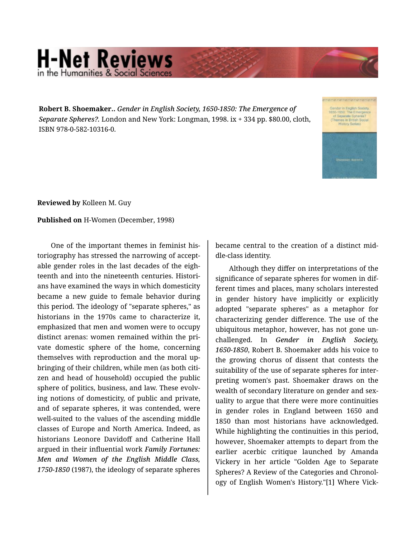## **H-Net Reviews** in the Humanities & Social Sciene

**Robert B. Shoemaker..** *Gender in English Society, 1650-1850: The Emergence of Separate Spheres?.* London and New York: Longman, 1998. ix + 334 pp. \$80.00, cloth, ISBN 978-0-582-10316-0.



**Reviewed by** Kolleen M. Guy

## **Published on** H-Women (December, 1998)

One of the important themes in feminist his‐ toriography has stressed the narrowing of accept‐ able gender roles in the last decades of the eigh‐ teenth and into the nineteenth centuries. Histori‐ ans have examined the ways in which domesticity became a new guide to female behavior during this period. The ideology of "separate spheres," as historians in the 1970s came to characterize it, emphasized that men and women were to occupy distinct arenas: women remained within the pri‐ vate domestic sphere of the home, concerning themselves with reproduction and the moral up‐ bringing of their children, while men (as both citi‐ zen and head of household) occupied the public sphere of politics, business, and law. These evolving notions of domesticity, of public and private, and of separate spheres, it was contended, were well-suited to the values of the ascending middle classes of Europe and North America. Indeed, as historians Leonore Davidoff and Catherine Hall argued in their influential work *Family Fortunes: Men and Women of the English Middle Class, 1750-1850* (1987), the ideology of separate spheres

became central to the creation of a distinct mid‐ dle-class identity.

Although they differ on interpretations of the significance of separate spheres for women in dif‐ ferent times and places, many scholars interested in gender history have implicitly or explicitly adopted "separate spheres" as a metaphor for characterizing gender difference. The use of the ubiquitous metaphor, however, has not gone un‐ challenged. In *Gender in English Society, 1650-1850*, Robert B. Shoemaker adds his voice to the growing chorus of dissent that contests the suitability of the use of separate spheres for inter‐ preting women's past. Shoemaker draws on the wealth of secondary literature on gender and sexuality to argue that there were more continuities in gender roles in England between 1650 and 1850 than most historians have acknowledged. While highlighting the continuities in this period, however, Shoemaker attempts to depart from the earlier acerbic critique launched by Amanda Vickery in her article "Golden Age to Separate Spheres? A Review of the Categories and Chronol‐ ogy of English Women's History."[1] Where Vick‐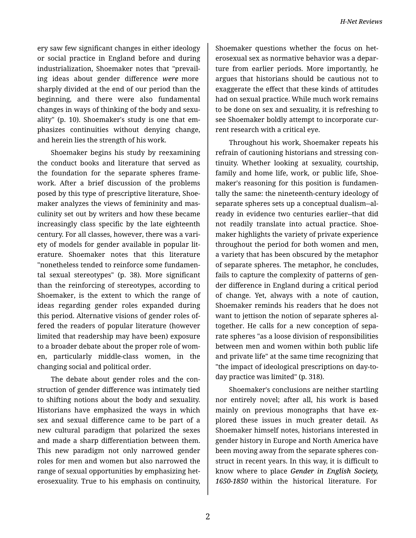ery saw few significant changes in either ideology or social practice in England before and during industrialization, Shoemaker notes that "prevail‐ ing ideas about gender difference *were* more sharply divided at the end of our period than the beginning, and there were also fundamental changes in ways of thinking of the body and sexu‐ ality" (p. 10). Shoemaker's study is one that em‐ phasizes continuities without denying change, and herein lies the strength of his work.

Shoemaker begins his study by reexamining the conduct books and literature that served as the foundation for the separate spheres frame‐ work. After a brief discussion of the problems posed by this type of prescriptive literature, Shoe‐ maker analyzes the views of femininity and mas‐ culinity set out by writers and how these became increasingly class specific by the late eighteenth century. For all classes, however, there was a vari‐ ety of models for gender available in popular lit‐ erature. Shoemaker notes that this literature "nonetheless tended to reinforce some fundamen‐ tal sexual stereotypes" (p. 38). More significant than the reinforcing of stereotypes, according to Shoemaker, is the extent to which the range of ideas regarding gender roles expanded during this period. Alternative visions of gender roles of‐ fered the readers of popular literature (however limited that readership may have been) exposure to a broader debate about the proper role of wom‐ en, particularly middle-class women, in the changing social and political order.

The debate about gender roles and the con‐ struction of gender difference was intimately tied to shifting notions about the body and sexuality. Historians have emphasized the ways in which sex and sexual difference came to be part of a new cultural paradigm that polarized the sexes and made a sharp differentiation between them. This new paradigm not only narrowed gender roles for men and women but also narrowed the range of sexual opportunities by emphasizing het‐ erosexuality. True to his emphasis on continuity,

Shoemaker questions whether the focus on het‐ erosexual sex as normative behavior was a depar‐ ture from earlier periods. More importantly, he argues that historians should be cautious not to exaggerate the effect that these kinds of attitudes had on sexual practice. While much work remains to be done on sex and sexuality, it is refreshing to see Shoemaker boldly attempt to incorporate current research with a critical eye.

Throughout his work, Shoemaker repeats his refrain of cautioning historians and stressing con‐ tinuity. Whether looking at sexuality, courtship, family and home life, work, or public life, Shoe‐ maker's reasoning for this position is fundamen‐ tally the same: the nineteenth-century ideology of separate spheres sets up a conceptual dualism--al‐ ready in evidence two centuries earlier--that did not readily translate into actual practice. Shoe‐ maker highlights the variety of private experience throughout the period for both women and men, a variety that has been obscured by the metaphor of separate spheres. The metaphor, he concludes, fails to capture the complexity of patterns of gen‐ der difference in England during a critical period of change. Yet, always with a note of caution, Shoemaker reminds his readers that he does not want to jettison the notion of separate spheres al‐ together. He calls for a new conception of sepa‐ rate spheres "as a loose division of responsibilities between men and women within both public life and private life" at the same time recognizing that "the impact of ideological prescriptions on day-today practice was limited" (p. 318).

Shoemaker's conclusions are neither startling nor entirely novel; after all, his work is based mainly on previous monographs that have explored these issues in much greater detail. As Shoemaker himself notes, historians interested in gender history in Europe and North America have been moving away from the separate spheres con‐ struct in recent years. In this way, it is difficult to know where to place *Gender in English Society, 1650-1850* within the historical literature. For